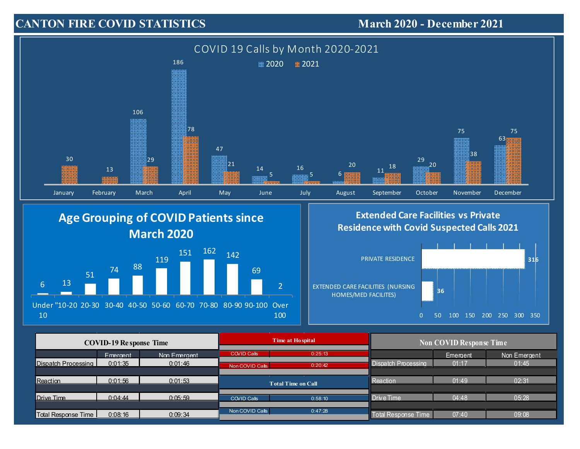## **CANTON FIRE COVID STATISTICS**

March 2020 - December 2021



## **Age Grouping of COVIDPatients since March 2020**



## **Extended Care Facilities vs Private Residencewith Covid Suspected Calls 2021**



| <b>COVID-19 Response Time</b> |          |              | Time at Ho spital         |         | <b>Non COVID Response Time</b> |          |              |
|-------------------------------|----------|--------------|---------------------------|---------|--------------------------------|----------|--------------|
|                               | Emergent | Non Emergent | <b>COVID Calls</b>        | 0:25:13 |                                | Emergent | Non Emergent |
| Dispatch Processing           | 0:01:35  | 0:01:46      | Non COVID Calls           | 0:20:42 | <b>Dispatch Processing</b>     | 01:17    | 01:45        |
|                               |          |              |                           |         |                                |          |              |
| <b>Reaction</b>               | 0:01:56  | 0:01:53      | <b>Total Time on Call</b> |         | Reaction                       | 01:49    | 02:31        |
|                               |          |              |                           |         |                                |          |              |
| Drive Time                    | 0:04:44  | 0:05:59      | COVID Calls               | 0:58:10 | Drive Time                     | 04:48    | 05:28        |
|                               |          |              |                           |         |                                |          |              |
| <b>Total Response Time</b>    | 0:08:16  | 0:09:34      | Non COVID Calls           | 0:47:28 | <b>Total Response Time</b>     | 07:40    | 09:08        |